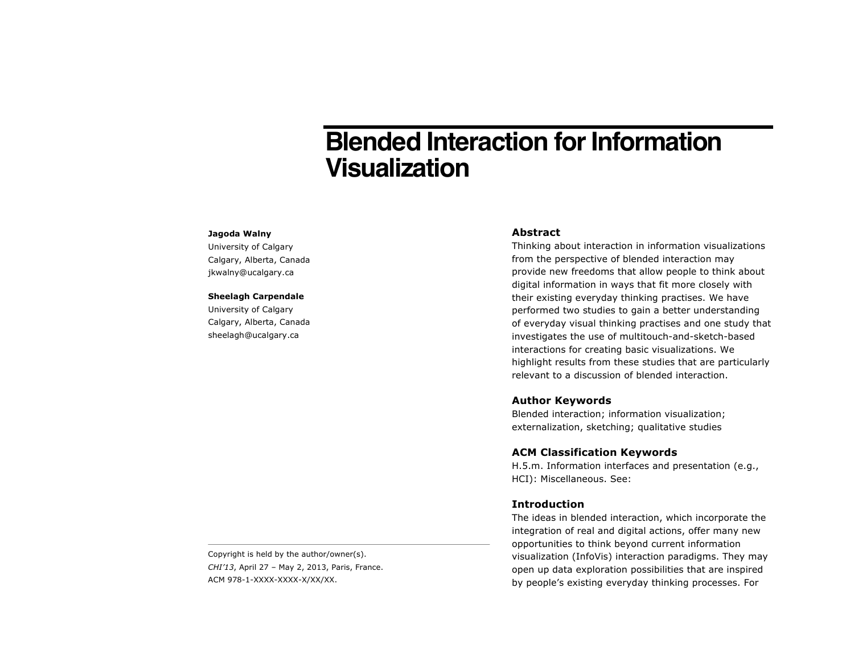# **Blended Interaction for Information Visualization**

#### **Jagoda Walny**

University of Calgary Calgary, Alberta, Canada jkwalny@ucalgary.ca

#### **Sheelagh Carpendale**

University of Calgary Calgary, Alberta, Canada sheelagh@ucalgary.ca

#### **Abstract**

Thinking about interaction in information visualizations from the perspective of blended interaction may provide new freedoms that allow people to think about digital information in ways that fit more closely with their existing everyday thinking practises. We have performed two studies to gain a better understanding of everyday visual thinking practises and one study that investigates the use of multitouch-and-sketch-based interactions for creating basic visualizations. We highlight results from these studies that are particularly relevant to a discussion of blended interaction.

## **Author Keywords**

Blended interaction; information visualization; externalization, sketching; qualitative studies

## **ACM Classification Keywords**

H.5.m. Information interfaces and presentation (e.g., HCI): Miscellaneous. See:

#### **Introduction**

The ideas in blended interaction, which incorporate the integration of real and digital actions, offer many new opportunities to think beyond current information visualization (InfoVis) interaction paradigms. They may open up data exploration possibilities that are inspired by people's existing everyday thinking processes. For

Copyright is held by the author/owner(s). *CHI'13*, April 27 – May 2, 2013, Paris, France. ACM 978-1-XXXX-XXXX-X/XX/XX.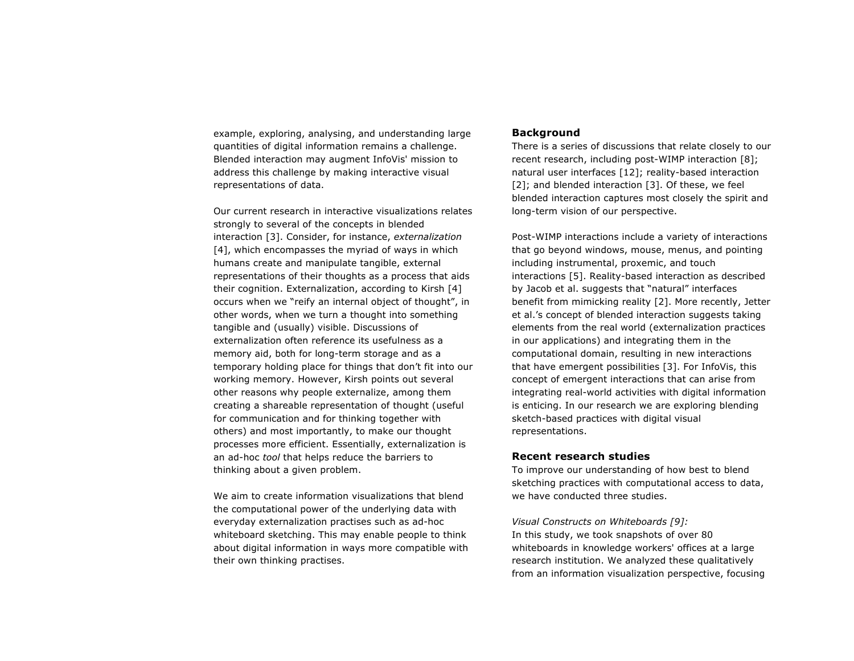example, exploring, analysing, and understanding large quantities of digital information remains a challenge. Blended interaction may augment InfoVis' mission to address this challenge by making interactive visual representations of data.

Our current research in interactive visualizations relates strongly to several of the concepts in blended interaction [3]. Consider, for instance, *externalization* [4], which encompasses the myriad of ways in which humans create and manipulate tangible, external representations of their thoughts as a process that aids their cognition. Externalization, according to Kirsh [4] occurs when we "reify an internal object of thought", in other words, when we turn a thought into something tangible and (usually) visible. Discussions of externalization often reference its usefulness as a memory aid, both for long-term storage and as a temporary holding place for things that don't fit into our working memory. However, Kirsh points out several other reasons why people externalize, among them creating a shareable representation of thought (useful for communication and for thinking together with others) and most importantly, to make our thought processes more efficient. Essentially, externalization is an ad-hoc *tool* that helps reduce the barriers to thinking about a given problem.

We aim to create information visualizations that blend the computational power of the underlying data with everyday externalization practises such as ad-hoc whiteboard sketching. This may enable people to think about digital information in ways more compatible with their own thinking practises.

## **Background**

There is a series of discussions that relate closely to our recent research, including post-WIMP interaction [8]; natural user interfaces [12]; reality-based interaction [2]; and blended interaction [3]. Of these, we feel blended interaction captures most closely the spirit and long-term vision of our perspective.

Post-WIMP interactions include a variety of interactions that go beyond windows, mouse, menus, and pointing including instrumental, proxemic, and touch interactions [5]. Reality-based interaction as described by Jacob et al. suggests that "natural" interfaces benefit from mimicking reality [2]. More recently, Jetter et al.'s concept of blended interaction suggests taking elements from the real world (externalization practices in our applications) and integrating them in the computational domain, resulting in new interactions that have emergent possibilities [3]. For InfoVis, this concept of emergent interactions that can arise from integrating real-world activities with digital information is enticing. In our research we are exploring blending sketch-based practices with digital visual representations.

## **Recent research studies**

To improve our understanding of how best to blend sketching practices with computational access to data, we have conducted three studies.

*Visual Constructs on Whiteboards [9]:*  In this study, we took snapshots of over 80 whiteboards in knowledge workers' offices at a large research institution. We analyzed these qualitatively from an information visualization perspective, focusing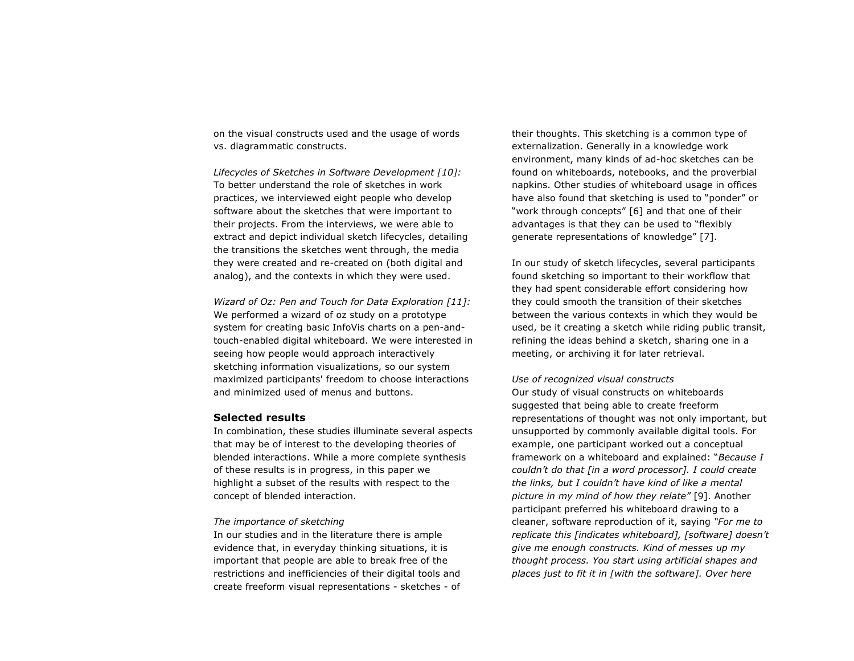on the visual constructs used and the usage of words vs. diagrammatic constructs.

*Lifecycles of Sketches in Software Development [10]:*  To better understand the role of sketches in work practices, we interviewed eight people who develop software about the sketches that were important to their projects. From the interviews, we were able to extract and depict individual sketch lifecycles, detailing the transitions the sketches went through, the media they were created and re-created on (both digital and analog), and the contexts in which they were used.

*Wizard of Oz: Pen and Touch for Data Exploration [11]:*  We performed a wizard of oz study on a prototype system for creating basic InfoVis charts on a pen-andtouch-enabled digital whiteboard. We were interested in seeing how people would approach interactively sketching information visualizations, so our system maximized participants' freedom to choose interactions and minimized used of menus and buttons.

### **Selected results**

In combination, these studies illuminate several aspects that may be of interest to the developing theories of blended interactions. While a more complete synthesis of these results is in progress, in this paper we highlight a subset of the results with respect to the concept of blended interaction.

#### *The importance of sketching*

In our studies and in the literature there is ample evidence that, in everyday thinking situations, it is important that people are able to break free of the restrictions and inefficiencies of their digital tools and create freeform visual representations - sketches - of

their thoughts. This sketching is a common type of externalization. Generally in a knowledge work environment, many kinds of ad-hoc sketches can be found on whiteboards, notebooks, and the proverbial napkins. Other studies of whiteboard usage in offices have also found that sketching is used to "ponder" or "work through concepts" [6] and that one of their advantages is that they can be used to "flexibly generate representations of knowledge" [7].

In our study of sketch lifecycles, several participants found sketching so important to their workflow that they had spent considerable effort considering how they could smooth the transition of their sketches between the various contexts in which they would be used, be it creating a sketch while riding public transit, refining the ideas behind a sketch, sharing one in a meeting, or archiving it for later retrieval.

#### *Use of recognized visual constructs*

Our study of visual constructs on whiteboards suggested that being able to create freeform representations of thought was not only important, but unsupported by commonly available digital tools. For example, one participant worked out a conceptual framework on a whiteboard and explained: "*Because I couldn't do that [in a word processor]. I could create the links, but I couldn't have kind of like a mental picture in my mind of how they relate"* [9]. Another participant preferred his whiteboard drawing to a cleaner, software reproduction of it, saying *"For me to replicate this [indicates whiteboard], [software] doesn't give me enough constructs. Kind of messes up my thought process. You start using artificial shapes and places just to fit it in [with the software]. Over here*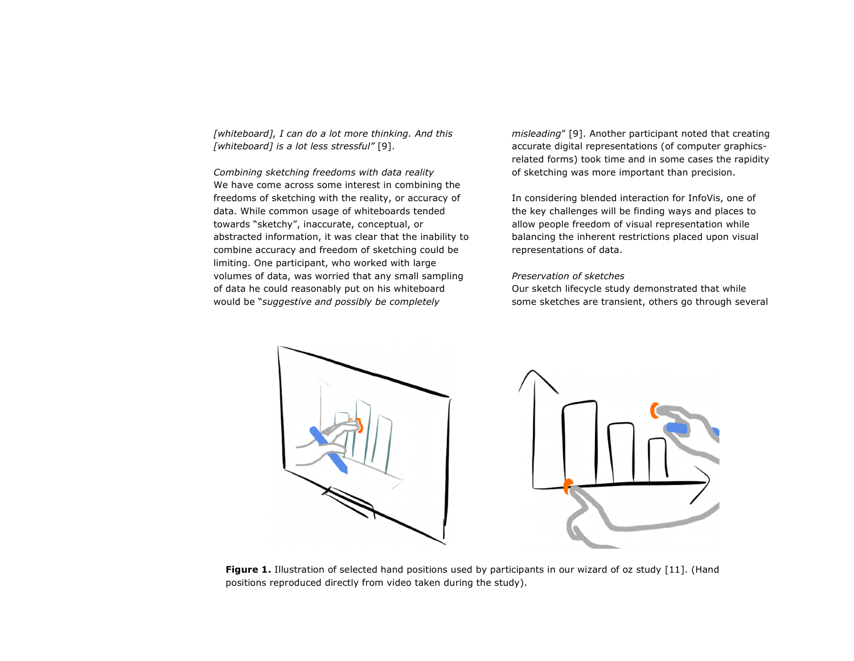*[whiteboard], I can do a lot more thinking. And this [whiteboard] is a lot less stressful"* [9].

*Combining sketching freedoms with data reality*  We have come across some interest in combining the freedoms of sketching with the reality, or accuracy of data. While common usage of whiteboards tended towards "sketchy", inaccurate, conceptual, or abstracted information, it was clear that the inability to combine accuracy and freedom of sketching could be limiting. One participant, who worked with large volumes of data, was worried that any small sampling of data he could reasonably put on his whiteboard would be "*suggestive and possibly be completely* 

*misleading*" [9]. Another participant noted that creating accurate digital representations (of computer graphicsrelated forms) took time and in some cases the rapidity of sketching was more important than precision.

In considering blended interaction for InfoVis, one of the key challenges will be finding ways and places to allow people freedom of visual representation while balancing the inherent restrictions placed upon visual representations of data.

## *Preservation of sketches*

Our sketch lifecycle study demonstrated that while some sketches are transient, others go through several



**Figure 1.** Illustration of selected hand positions used by participants in our wizard of oz study [11]. (Hand positions reproduced directly from video taken during the study).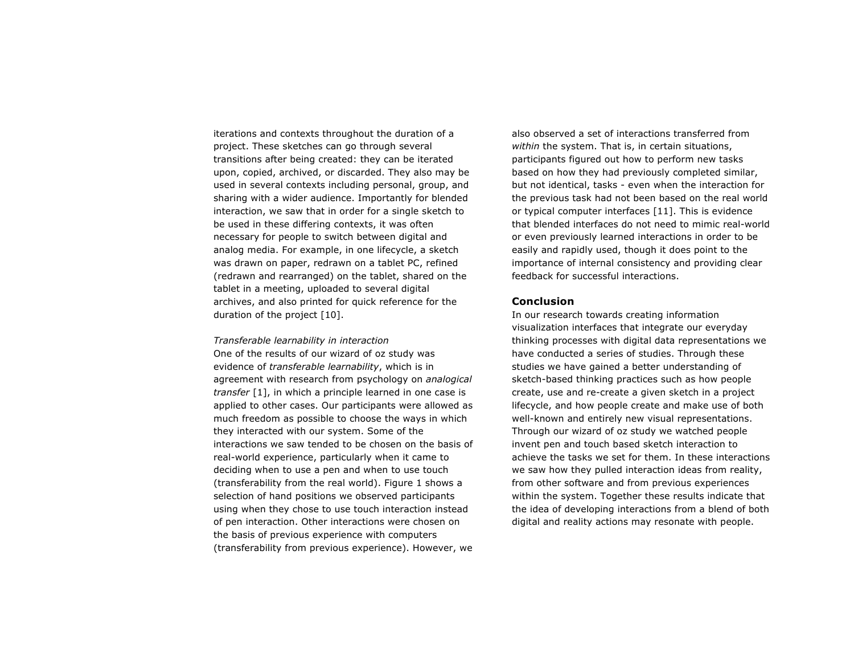iterations and contexts throughout the duration of a project. These sketches can go through several transitions after being created: they can be iterated upon, copied, archived, or discarded. They also may be used in several contexts including personal, group, and sharing with a wider audience. Importantly for blended interaction, we saw that in order for a single sketch to be used in these differing contexts, it was often necessary for people to switch between digital and analog media. For example, in one lifecycle, a sketch was drawn on paper, redrawn on a tablet PC, refined (redrawn and rearranged) on the tablet, shared on the tablet in a meeting, uploaded to several digital archives, and also printed for quick reference for the duration of the project [10].

*Transferable learnability in interaction* One of the results of our wizard of oz study was evidence of *transferable learnability*, which is in agreement with research from psychology on *analogical transfer* [1], in which a principle learned in one case is applied to other cases. Our participants were allowed as much freedom as possible to choose the ways in which they interacted with our system. Some of the interactions we saw tended to be chosen on the basis of real-world experience, particularly when it came to deciding when to use a pen and when to use touch (transferability from the real world). Figure 1 shows a selection of hand positions we observed participants using when they chose to use touch interaction instead of pen interaction. Other interactions were chosen on the basis of previous experience with computers (transferability from previous experience). However, we

also observed a set of interactions transferred from *within* the system. That is, in certain situations, participants figured out how to perform new tasks based on how they had previously completed similar, but not identical, tasks - even when the interaction for the previous task had not been based on the real world or typical computer interfaces [11]. This is evidence that blended interfaces do not need to mimic real-world or even previously learned interactions in order to be easily and rapidly used, though it does point to the importance of internal consistency and providing clear feedback for successful interactions.

### **Conclusion**

In our research towards creating information visualization interfaces that integrate our everyday thinking processes with digital data representations we have conducted a series of studies. Through these studies we have gained a better understanding of sketch-based thinking practices such as how people create, use and re-create a given sketch in a project lifecycle, and how people create and make use of both well-known and entirely new visual representations. Through our wizard of oz study we watched people invent pen and touch based sketch interaction to achieve the tasks we set for them. In these interactions we saw how they pulled interaction ideas from reality, from other software and from previous experiences within the system. Together these results indicate that the idea of developing interactions from a blend of both digital and reality actions may resonate with people.